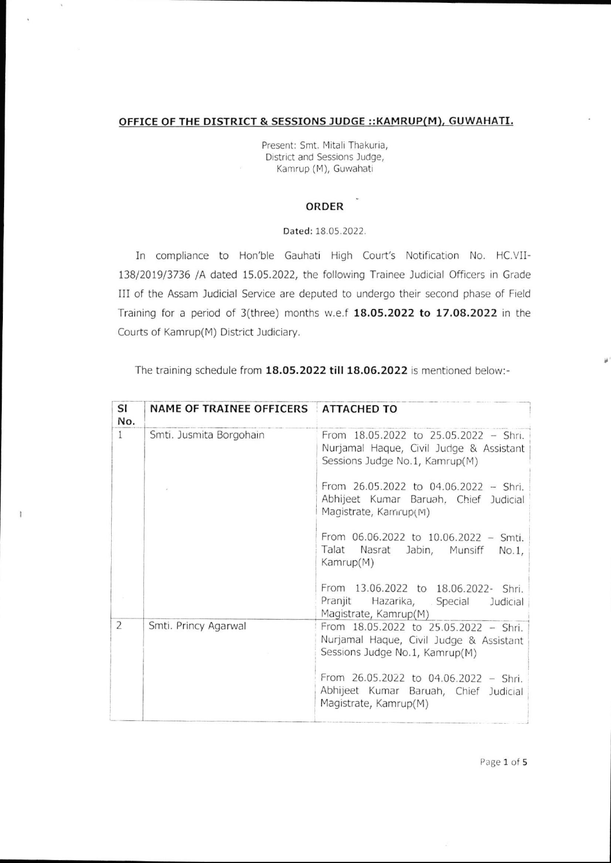## OFFICE OF THE DISTRICT & SESSIONS JUDGE ::KAMRUP(M). GUWAHATI.

Present: Smt. Mitali Thakuria, District and Sessions Judge, Kamrup (M), Guwahati

## **ORDER**

## Dated:18.05.2022

In compliance to Hon'ble Gauhati High Court's Notification No. HC.VII-138/2019/3736 /A dated 15.05.2022, the following Trainee Judicial Officers in Grade III of the Assam ludicial Service are deputed to undergo their second phase of Field Training for a period of 3(three) months w.e.f 18.05.2022 to 17.08.2022 in the Courts of Kamrup(M) District Judiciary.

The training schedule from 18.05.2022 till 18.06.2022 is mentioned below:-

| SI<br>No.      | NAME OF TRAINEE OFFICERS ATTACHED TO |                                                                                                                    |
|----------------|--------------------------------------|--------------------------------------------------------------------------------------------------------------------|
| $\mathbf{1}$   | Smti. Jusmita Borgohain              | From 18.05.2022 to 25.05.2022 - Shri.<br>Nurjamal Haque, Civil Judge & Assistant<br>Sessions Judge No.1, Kamrup(M) |
|                |                                      | From 26.05.2022 to 04.06.2022 - Shri.<br>Abhijeet Kumar Baruah, Chief Judicial<br>Magistrate, Kamrup(M)            |
|                |                                      | From 06.06.2022 to 10.06.2022 - Smti.<br>Talat Nasrat Jabin, Munsiff<br>No.1<br>Kamrup(M)                          |
|                |                                      | From 13.06.2022 to 18.06.2022- Shri.<br>Pranjit Hazarika, Special<br>Judicial<br>Magistrate, Kamrup(M)             |
| $\overline{2}$ | Smti. Princy Agarwal                 | From 18.05.2022 to 25.05.2022 - Shri.<br>Nurjamal Haque, Civil Judge & Assistant<br>Sessions Judge No.1, Kamrup(M) |
|                |                                      | From 26.05.2022 to 04.06.2022 - Shri.<br>Abhijeet Kumar Baruah, Chief Judicial<br>Magistrate, Kamrup(M)            |

٠

Page 1 of 5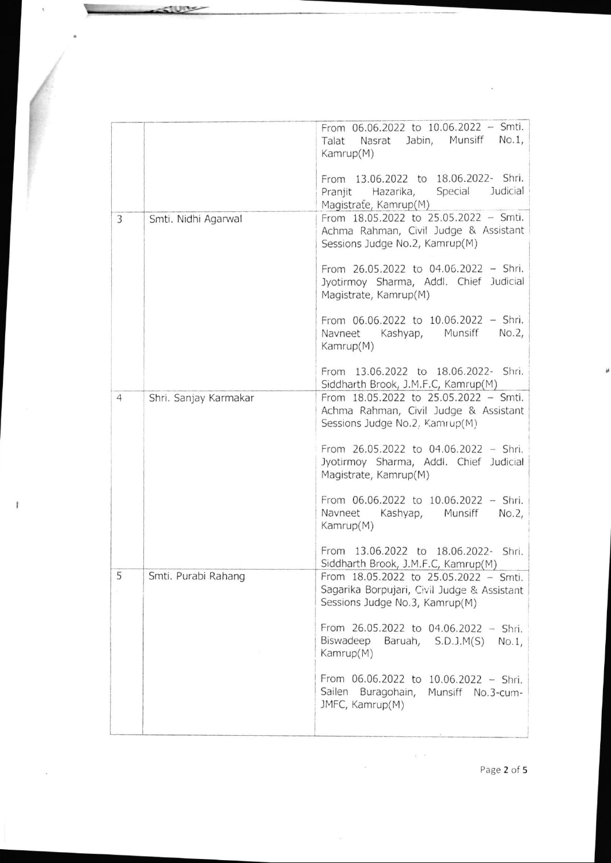|                |                       | From 06.06.2022 to 10.06.2022 - Smti.<br>Nasrat Jabin, Munsiff<br>$No.1$ ,<br>Talat<br>Kamrup(M)                       |
|----------------|-----------------------|------------------------------------------------------------------------------------------------------------------------|
|                |                       | From 13.06.2022 to 18.06.2022- Shri.<br>Special<br>Judicial<br>Hazarika,<br>Pranjit<br>Magistrate, Kamrup(M)           |
| 3              | Smti. Nidhi Agarwal   | From 18.05.2022 to 25.05.2022 - Smti.<br>Achma Rahman, Civil Judge & Assistant<br>Sessions Judge No.2, Kamrup(M)       |
|                |                       | From 26.05.2022 to 04.06.2022 - Shri.<br>Jyotirmoy Sharma, Addl. Chief Judicial<br>Magistrate, Kamrup(M)               |
|                |                       | From 06.06.2022 to 10.06.2022 - Shri.<br>Navneet Kashyap, Munsiff<br>No.2<br>Kamrup(M)                                 |
|                |                       | From 13.06.2022 to 18.06.2022- Shri.<br>Siddharth Brook, J.M.F.C, Kamrup(M)                                            |
| $\overline{4}$ | Shri. Sanjay Karmakar | From 18.05.2022 to 25.05.2022 - Smti.<br>Achma Rahman, Civil Judge & Assistant<br>Sessions Judge No.2, Kamrup(M)       |
|                |                       | From 26.05.2022 to 04.06.2022 - Shri.<br>Jyotirmoy Sharma, Addl. Chief Judicial<br>Magistrate, Kamrup(M)               |
|                |                       | From 06.06.2022 to 10.06.2022 - Shri.<br>Navneet<br>Kashyap, Munsiff<br>No.2<br>Kamrup(M)                              |
|                |                       | From 13.06.2022 to 18.06.2022- Shri.<br>Siddharth Brook, J.M.F.C, Kamrup(M)                                            |
| 5              | Smti. Purabi Rahang   | From 18.05.2022 to 25.05.2022 - Smti.<br>Sagarika Borpujari, Civil Judge & Assistant<br>Sessions Judge No.3, Kamrup(M) |
|                |                       | From 26.05.2022 to 04.06.2022 - Shri.<br>Biswadeep<br>Baruah, S.D.J.M(S)<br>$No.1$ ,<br>Kamrup(M)                      |
|                |                       | From 06.06.2022 to 10.06.2022 - Shri.<br>Sailen Buragohain, Munsiff No.3-cum-<br>JMFC, Kamrup(M)                       |
|                |                       |                                                                                                                        |

 $\frac{1}{\sqrt{2}}$ 

**CTUTY** 

I

Page 2 of 5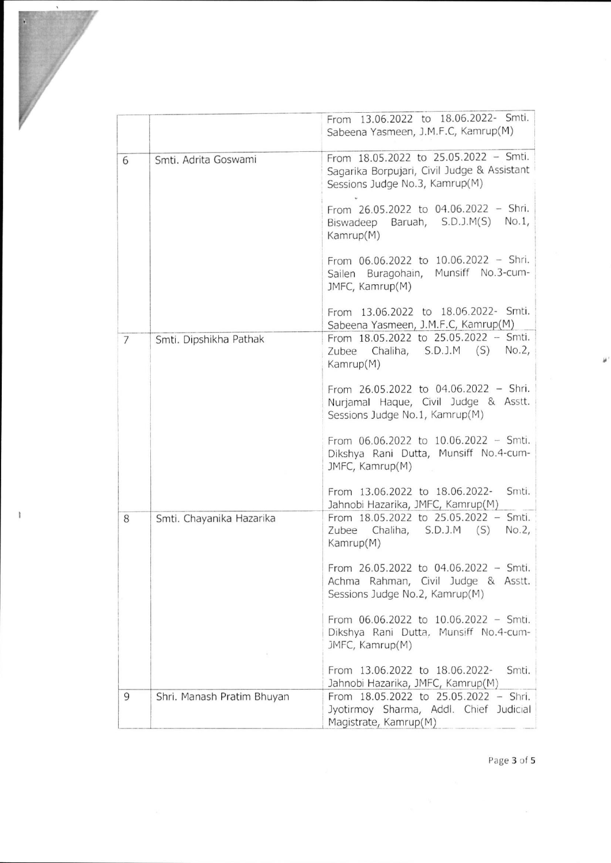|                |                            | From 13.06.2022 to 18.06.2022- Smti.<br>Sabeena Yasmeen, J.M.F.C, Kamrup(M)                                            |
|----------------|----------------------------|------------------------------------------------------------------------------------------------------------------------|
| 6              | Smti. Adrita Goswami       | From 18.05.2022 to 25.05.2022 - Smti.<br>Sagarika Borpujari, Civil Judge & Assistant<br>Sessions Judge No.3, Kamrup(M) |
|                |                            | From 26.05.2022 to 04.06.2022 - Shri.<br>Biswadeep Baruah, S.D.J.M(S) No.1,<br>Kamrup(M)                               |
|                |                            | From 06.06.2022 to 10.06.2022 - Shri.<br>Sailen Buragohain, Munsiff No.3-cum-<br>JMFC, Kamrup(M)                       |
|                |                            | From 13.06.2022 to 18.06.2022- Smti.<br>Sabeena Yasmeen, J.M.F.C, Kamrup(M)                                            |
| $\overline{7}$ | Smti. Dipshikha Pathak     | From 18.05.2022 to 25.05.2022 - Smti.<br>Zubee Chaliha, S.D.J.M (S) No.2,<br>Kamrup(M)                                 |
|                |                            | From 26.05.2022 to 04.06.2022 - Shri.<br>Nurjamal Haque, Civil Judge & Asstt.<br>Sessions Judge No.1, Kamrup(M)        |
|                |                            | From 06.06.2022 to 10.06.2022 - Smti.<br>Dikshya Rani Dutta, Munsiff No.4-cum-<br>JMFC, Kamrup(M)                      |
|                |                            | Smti.<br>From 13.06.2022 to 18.06.2022-<br>Jahnobi Hazarika, JMFC, Kamrup(M)                                           |
| 8              | Smti. Chayanika Hazarika   | From 18.05.2022 to 25.05.2022 - Smti.<br>Chaliha, S.D.J.M (S)<br>No.2,<br>Zubee<br>Kamrup(M)                           |
|                |                            | From $26.05.2022$ to $04.06.2022 - Smti$ .<br>Achma Rahman, Civil Judge & Asstt.<br>Sessions Judge No.2, Kamrup(M)     |
|                |                            | From 06.06.2022 to 10.06.2022 - Smti.<br>Dikshya Rani Dutta, Munsiff No.4-cum-<br>JMFC, Kamrup(M)                      |
|                |                            | From 13.06.2022 to 18.06.2022-<br>Smti.<br>Jahnobi Hazarika, JMFC, Kamrup(M)                                           |
| 9              | Shri. Manash Pratim Bhuyan | From 18.05.2022 to 25.05.2022 - Shri.<br>Jyotirmoy Sharma, Addl. Chief Judicial<br>Magistrate, Kamrup(M)               |

I

Page 3 of 5

ÿ